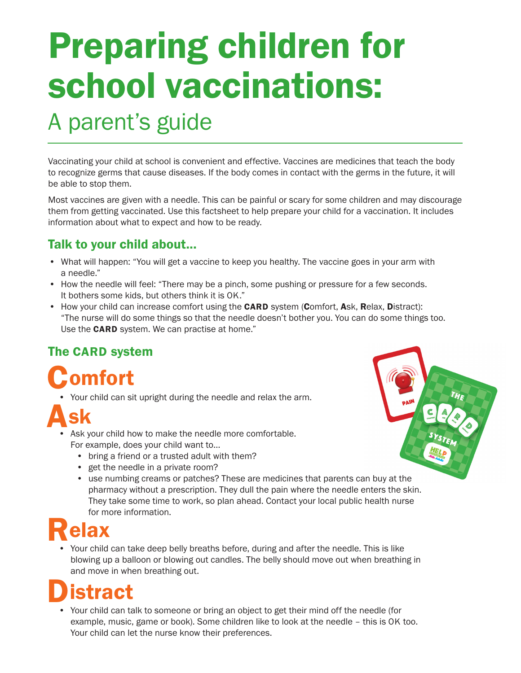# **Preparing children for** school vaccinations:

### A parent's guide

Vaccinating your child at school is convenient and effective. Vaccines are medicines that teach the body to recognize germs that cause diseases. If the body comes in contact with the germs in the future, it will be able to stop them.

Most vaccines are given with a needle. This can be painful or scary for some children and may discourage them from getting vaccinated. Use this factsheet to help prepare your child for a vaccination. It includes information about what to expect and how to be ready.

### Talk to your child about...

- What will happen: "You will get a vaccine to keep you healthy. The vaccine goes in your arm with a needle."
- How the needle will feel: "There may be a pinch, some pushing or pressure for a few seconds. It bothers some kids, but others think it is OK."
- How your child can increase comfort using the **CARD** system (Comfort, Ask, Relax, Distract): "The nurse will do some things so that the needle doesn't bother you. You can do some things too. Use the **CARD** system. We can practise at home."

### The CARD system

## **Comfort**

• Your child can sit upright during the needle and relax the arm.

- Ask your child how to make the needle more comfortable. For example, does your child want to…
	- bring a friend or a trusted adult with them?
	- get the needle in a private room?
	- use numbing creams or patches? These are medicines that parents can buy at the pharmacy without a prescription. They dull the pain where the needle enters the skin. They take some time to work, so plan ahead. Contact your local public health nurse for more information.

### elax

• Your child can take deep belly breaths before, during and after the needle. This is like blowing up a balloon or blowing out candles. The belly should move out when breathing in and move in when breathing out.

### **istract**

• Your child can talk to someone or bring an object to get their mind off the needle (for example, music, game or book). Some children like to look at the needle – this is OK too. Your child can let the nurse know their preferences.